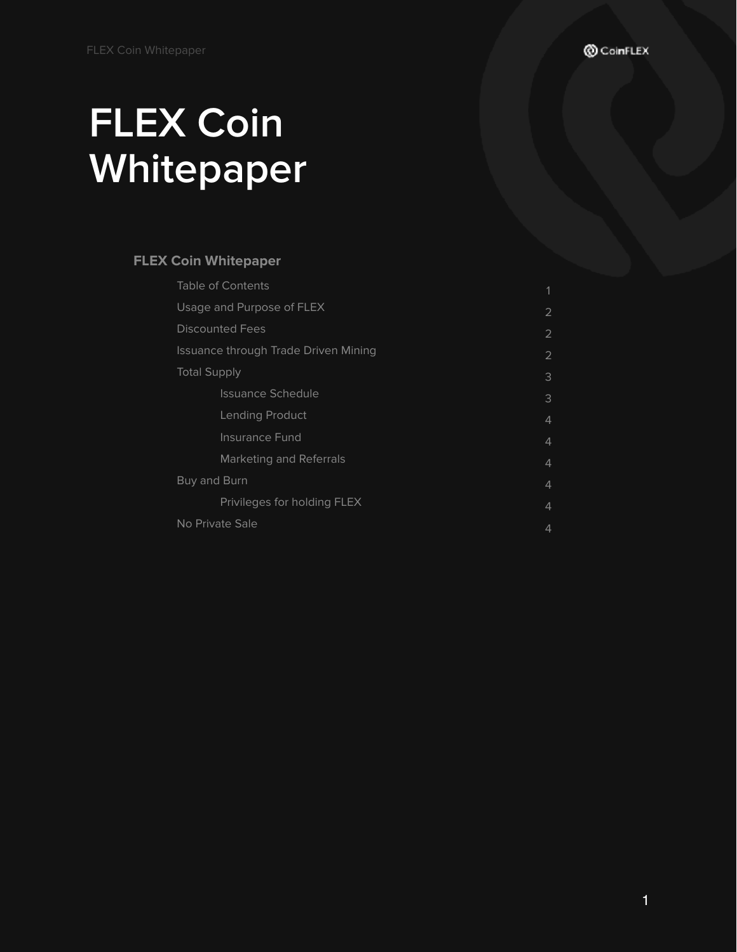# **FLEX Coin Whitepaper**

# **FLEX Coin Whitepaper**

| <b>Table of Contents</b>             | 1              |
|--------------------------------------|----------------|
| Usage and Purpose of FLEX            | 2              |
| <b>Discounted Fees</b>               | 2              |
| Issuance through Trade Driven Mining | 2              |
| <b>Total Supply</b>                  | 3              |
| <b>Issuance Schedule</b>             | 3              |
| Lending Product                      | 4              |
| <b>Insurance Fund</b>                | $\overline{4}$ |
| <b>Marketing and Referrals</b>       | $\overline{4}$ |
| Buy and Burn                         | 4              |
| Privileges for holding FLEX          | 4              |
| No Private Sale                      | 4              |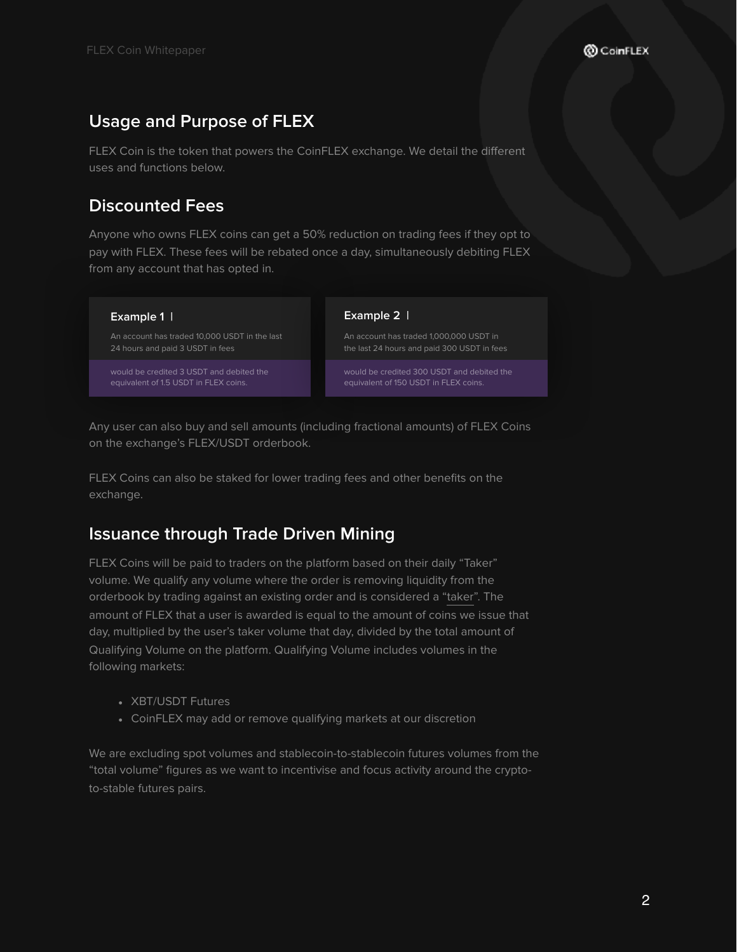# **Usage and Purpose of FLEX**

FLEX Coin is the token that powers the CoinFLEX exchange. We detail the different uses and functions below.

# **Discounted Fees**

Anyone who owns FLEX coins can get a 50% reduction on trading fees if they opt to pay with FLEX. These fees will be rebated once a day, simultaneously debiting FLEX from any account that has opted in.

#### **Example 1 |**

An account has traded 10,000 USDT in the last 24 hours and paid 3 USDT in fees

would be credited 3 USDT and debited the

#### **Example 2 |**

An account has traded 1,000,000 USDT in

would be credited 300 USDT and debited the equivalent of 150 USDT in FLEX coins.

Any user can also buy and sell amounts (including fractional amounts) of FLEX Coins on the exchange's FLEX/USDT orderbook.

FLEX Coins can also be staked for lower trading fees and other benefits on the exchange.

# **Issuance through Trade Driven Mining**

FLEX Coins will be paid to traders on the platform based on their daily "Taker" volume. We qualify any volume where the order is removing liquidity from the orderbook by trading against an existing order and is considered a ["taker"](http://www.marketswiki.com/wiki/Maker-taker). The amount of FLEX that a user is awarded is equal to the amount of coins we issue that day, multiplied by the user's taker volume that day, divided by the total amount of Qualifying Volume on the platform. Qualifying Volume includes volumes in the following markets:

- XBT/USDT Futures
- CoinFLEX may add or remove qualifying markets at our discretion

We are excluding spot volumes and stablecoin-to-stablecoin futures volumes from the "total volume" figures as we want to incentivise and focus activity around the cryptoto-stable futures pairs.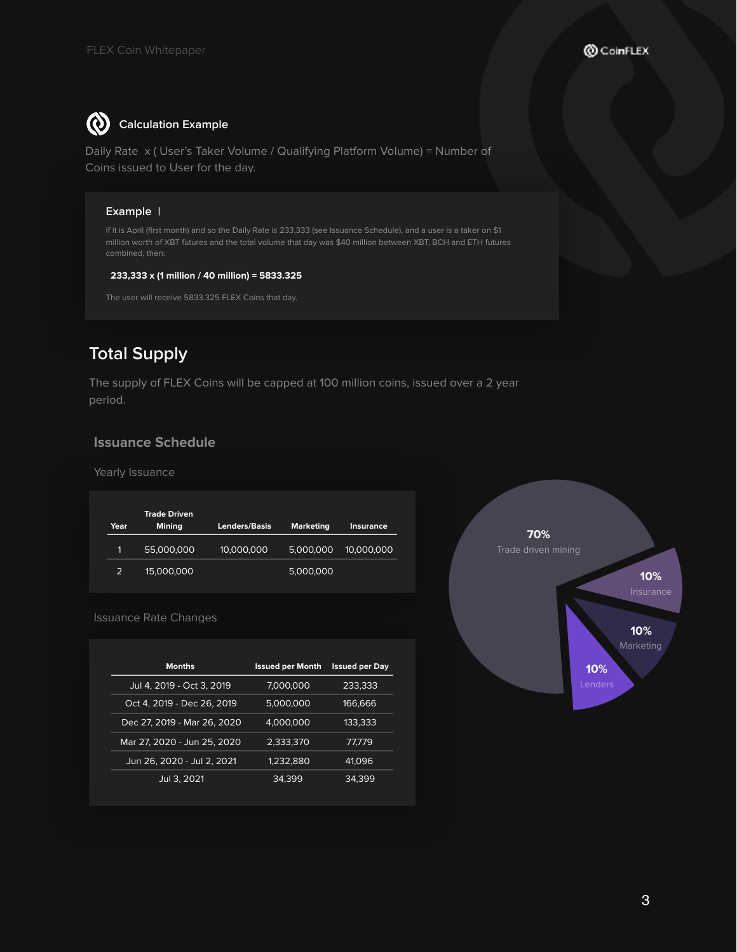#### $\boldsymbol{\omega}$ **Calculation Example**

Daily Rate x ( User's Taker Volume / Qualifying Platform Volume) = Number of Coins issued to User for the day.

## **Example |**

million worth of XBT futures and the total volume that day was \$40 million between XBT, BCH and ETH futures combined, then:

#### **233,333 x (1 million / 40 million) = 5833.325**

# **Total Supply**

The supply of FLEX Coins will be capped at 100 million coins, issued over a 2 year period.

## **Issuance Schedule**

Yearly Issuance

| Year | <b>Trade Driven</b><br><b>Mining</b> | <b>Lenders/Basis</b> | <b>Marketing</b> | <b>Insurance</b> |
|------|--------------------------------------|----------------------|------------------|------------------|
| 11   | 55,000,000                           | 10,000,000           | 5,000,000        | 10,000,000       |
| 2    | 15,000,000                           |                      | 5,000,000        |                  |



Issuance Rate Changes

| <b>Months</b>               | <b>Issued per Month</b> | <b>Issued per Day</b> |
|-----------------------------|-------------------------|-----------------------|
| Jul 4, 2019 - Oct 3, 2019   | 7,000,000               | 233,333               |
| Oct 4, 2019 - Dec 26, 2019  | 5,000,000               | 166,666               |
| Dec 27, 2019 - Mar 26, 2020 | 4.000.000               | 133,333               |
| Mar 27, 2020 - Jun 25, 2020 | 2,333,370               | 77,779                |
| Jun 26, 2020 - Jul 2, 2021  | 1,232,880               | 41.096                |
| Jul 3, 2021                 | 34,399                  | 34.399                |